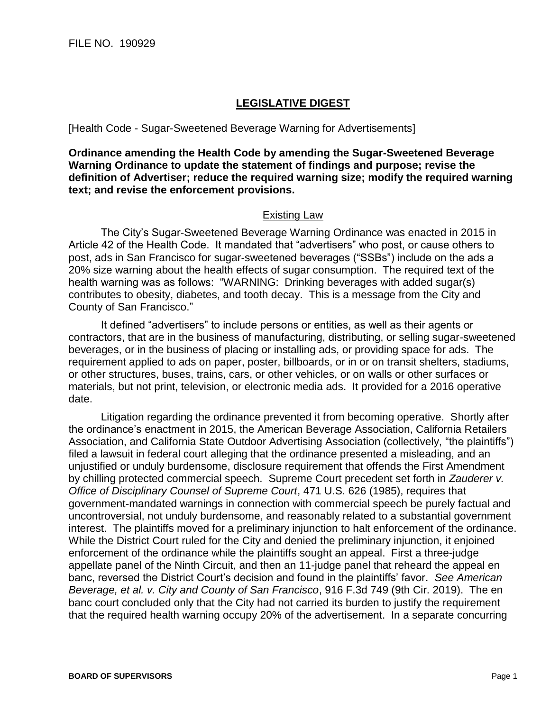## **LEGISLATIVE DIGEST**

## [Health Code - Sugar-Sweetened Beverage Warning for Advertisements]

**Ordinance amending the Health Code by amending the Sugar-Sweetened Beverage Warning Ordinance to update the statement of findings and purpose; revise the definition of Advertiser; reduce the required warning size; modify the required warning text; and revise the enforcement provisions.**

## Existing Law

The City's Sugar-Sweetened Beverage Warning Ordinance was enacted in 2015 in Article 42 of the Health Code. It mandated that "advertisers" who post, or cause others to post, ads in San Francisco for sugar-sweetened beverages ("SSBs") include on the ads a 20% size warning about the health effects of sugar consumption. The required text of the health warning was as follows: "WARNING: Drinking beverages with added sugar(s) contributes to obesity, diabetes, and tooth decay. This is a message from the City and County of San Francisco."

It defined "advertisers" to include persons or entities, as well as their agents or contractors, that are in the business of manufacturing, distributing, or selling sugar-sweetened beverages, or in the business of placing or installing ads, or providing space for ads. The requirement applied to ads on paper, poster, billboards, or in or on transit shelters, stadiums, or other structures, buses, trains, cars, or other vehicles, or on walls or other surfaces or materials, but not print, television, or electronic media ads. It provided for a 2016 operative date.

Litigation regarding the ordinance prevented it from becoming operative. Shortly after the ordinance's enactment in 2015, the American Beverage Association, California Retailers Association, and California State Outdoor Advertising Association (collectively, "the plaintiffs") filed a lawsuit in federal court alleging that the ordinance presented a misleading, and an unjustified or unduly burdensome, disclosure requirement that offends the First Amendment by chilling protected commercial speech. Supreme Court precedent set forth in *Zauderer v. Office of Disciplinary Counsel of Supreme Court*, 471 U.S. 626 (1985), requires that government-mandated warnings in connection with commercial speech be purely factual and uncontroversial, not unduly burdensome, and reasonably related to a substantial government interest. The plaintiffs moved for a preliminary injunction to halt enforcement of the ordinance. While the District Court ruled for the City and denied the preliminary injunction, it enjoined enforcement of the ordinance while the plaintiffs sought an appeal. First a three-judge appellate panel of the Ninth Circuit, and then an 11-judge panel that reheard the appeal en banc, reversed the District Court's decision and found in the plaintiffs' favor. *See American Beverage, et al. v. City and County of San Francisco*, 916 F.3d 749 (9th Cir. 2019). The en banc court concluded only that the City had not carried its burden to justify the requirement that the required health warning occupy 20% of the advertisement. In a separate concurring